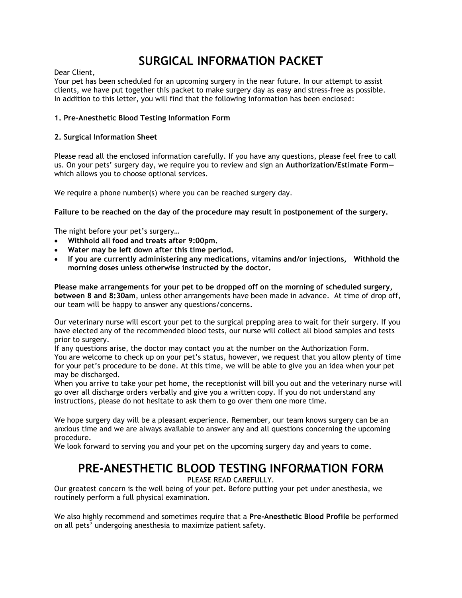# **SURGICAL INFORMATION PACKET**

Dear Client,

Your pet has been scheduled for an upcoming surgery in the near future. In our attempt to assist clients, we have put together this packet to make surgery day as easy and stress-free as possible. In addition to this letter, you will find that the following information has been enclosed:

## **1. Pre-Anesthetic Blood Testing Information Form**

### **2. Surgical Information Sheet**

Please read all the enclosed information carefully. If you have any questions, please feel free to call us. On your pets' surgery day, we require you to review and sign an **Authorization/Estimate Form** which allows you to choose optional services.

We require a phone number(s) where you can be reached surgery day.

**Failure to be reached on the day of the procedure may result in postponement of the surgery.** 

The night before your pet's surgery…

- **Withhold all food and treats after 9:00pm.**
- **Water may be left down after this time period.**
- **If you are currently administering any medications, vitamins and/or injections, Withhold the morning doses unless otherwise instructed by the doctor.**

**Please make arrangements for your pet to be dropped off on the morning of scheduled surgery, between 8 and 8:30am**, unless other arrangements have been made in advance. At time of drop off, our team will be happy to answer any questions/concerns.

Our veterinary nurse will escort your pet to the surgical prepping area to wait for their surgery. If you have elected any of the recommended blood tests, our nurse will collect all blood samples and tests prior to surgery.

If any questions arise, the doctor may contact you at the number on the Authorization Form. You are welcome to check up on your pet's status, however, we request that you allow plenty of time for your pet's procedure to be done. At this time, we will be able to give you an idea when your pet may be discharged.

When you arrive to take your pet home, the receptionist will bill you out and the veterinary nurse will go over all discharge orders verbally and give you a written copy. If you do not understand any instructions, please do not hesitate to ask them to go over them one more time.

We hope surgery day will be a pleasant experience. Remember, our team knows surgery can be an anxious time and we are always available to answer any and all questions concerning the upcoming procedure.

We look forward to serving you and your pet on the upcoming surgery day and years to come.

## **PRE-ANESTHETIC BLOOD TESTING INFORMATION FORM**

PLEASE READ CAREFULLY.

Our greatest concern is the well being of your pet. Before putting your pet under anesthesia, we routinely perform a full physical examination.

We also highly recommend and sometimes require that a **Pre-Anesthetic Blood Profile** be performed on all pets' undergoing anesthesia to maximize patient safety.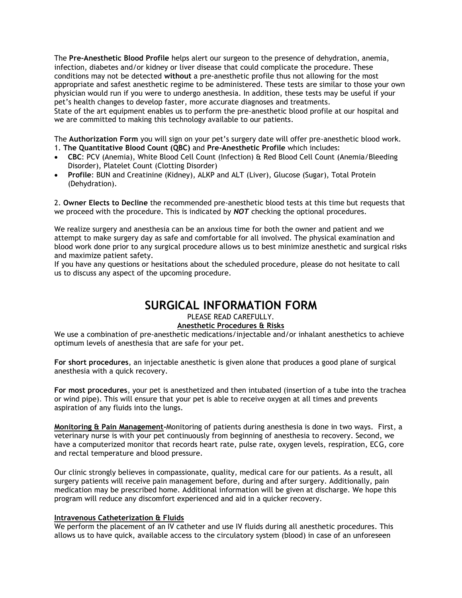The **Pre-Anesthetic Blood Profile** helps alert our surgeon to the presence of dehydration, anemia, infection, diabetes and/or kidney or liver disease that could complicate the procedure. These conditions may not be detected **without** a pre-anesthetic profile thus not allowing for the most appropriate and safest anesthetic regime to be administered. These tests are similar to those your own physician would run if you were to undergo anesthesia. In addition, these tests may be useful if your pet's health changes to develop faster, more accurate diagnoses and treatments.

State of the art equipment enables us to perform the pre-anesthetic blood profile at our hospital and we are committed to making this technology available to our patients.

The **Authorization Form** you will sign on your pet's surgery date will offer pre-anesthetic blood work. 1. **The Quantitative Blood Count (QBC)** and **Pre-Anesthetic Profile** which includes:

- **CBC**: PCV (Anemia), White Blood Cell Count (Infection) & Red Blood Cell Count (Anemia/Bleeding Disorder), Platelet Count (Clotting Disorder)
- **Profile**: BUN and Creatinine (Kidney), ALKP and ALT (Liver), Glucose (Sugar), Total Protein (Dehydration).

2. **Owner Elects to Decline** the recommended pre-anesthetic blood tests at this time but requests that we proceed with the procedure. This is indicated by *NOT* checking the optional procedures.

We realize surgery and anesthesia can be an anxious time for both the owner and patient and we attempt to make surgery day as safe and comfortable for all involved. The physical examination and blood work done prior to any surgical procedure allows us to best minimize anesthetic and surgical risks and maximize patient safety.

If you have any questions or hesitations about the scheduled procedure, please do not hesitate to call us to discuss any aspect of the upcoming procedure.

## **SURGICAL INFORMATION FORM**

#### PLEASE READ CAREFULLY. **Anesthetic Procedures & Risks**

We use a combination of pre-anesthetic medications/injectable and/or inhalant anesthetics to achieve optimum levels of anesthesia that are safe for your pet.

**For short procedures**, an injectable anesthetic is given alone that produces a good plane of surgical anesthesia with a quick recovery.

**For most procedures**, your pet is anesthetized and then intubated (insertion of a tube into the trachea or wind pipe). This will ensure that your pet is able to receive oxygen at all times and prevents aspiration of any fluids into the lungs.

**Monitoring & Pain Management-**Monitoring of patients during anesthesia is done in two ways. First, a veterinary nurse is with your pet continuously from beginning of anesthesia to recovery. Second, we have a computerized monitor that records heart rate, pulse rate, oxygen levels, respiration, ECG, core and rectal temperature and blood pressure.

Our clinic strongly believes in compassionate, quality, medical care for our patients. As a result, all surgery patients will receive pain management before, during and after surgery. Additionally, pain medication may be prescribed home. Additional information will be given at discharge. We hope this program will reduce any discomfort experienced and aid in a quicker recovery.

#### **Intravenous Catheterization & Fluids**

We perform the placement of an IV catheter and use IV fluids during all anesthetic procedures. This allows us to have quick, available access to the circulatory system (blood) in case of an unforeseen